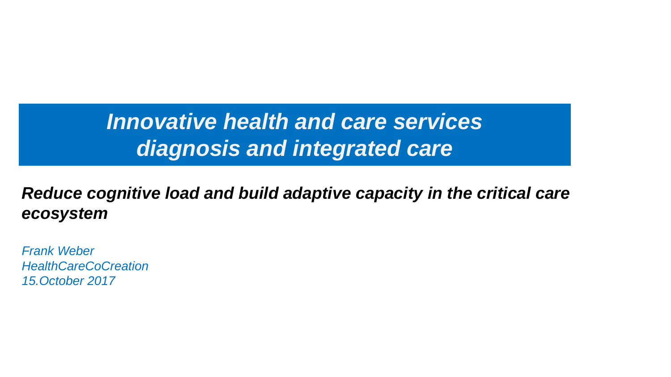# *Innovative health and care services diagnosis and integrated care*

## *Reduce cognitive load and build adaptive capacity in the critical care ecosystem*

*Frank Weber HealthCareCoCreation 15.October 2017*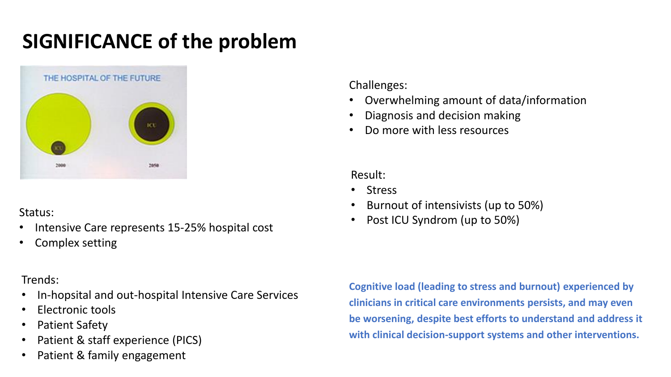# **SIGNIFICANCE of the problem**



Status:

- Intensive Care represents 15-25% hospital cost
- Complex setting

### Trends:

- In-hopsital and out-hospital Intensive Care Services
- Electronic tools
- Patient Safety
- Patient & staff experience (PICS)
- Patient & family engagement

Challenges:

- Overwhelming amount of data/information
- Diagnosis and decision making
- Do more with less resources

Result:

- Stress
- Burnout of intensivists (up to 50%)
- Post ICU Syndrom (up to 50%)

**Cognitive load (leading to stress and burnout) experienced by clinicians in critical care environments persists, and may even be worsening, despite best efforts to understand and address it with clinical decision-support systems and other interventions.**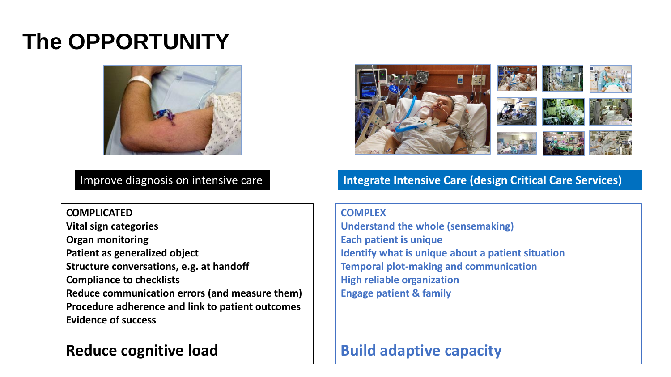# **The OPPORTUNITY**





#### Improve diagnosis on intensive care **Integrate Intensive Care (design Critical Care Services)**

**COMPLICATED**

**Vital sign categories Organ monitoring Patient as generalized object Structure conversations, e.g. at handoff Compliance to checklists Reduce communication errors (and measure them) Procedure adherence and link to patient outcomes Evidence of success**

## **Reduce cognitive load**

#### **COMPLEX**

**Understand the whole (sensemaking) Each patient is unique Identify what is unique about a patient situation Temporal plot-making and communication High reliable organization Engage patient & family**

## **Build adaptive capacity**